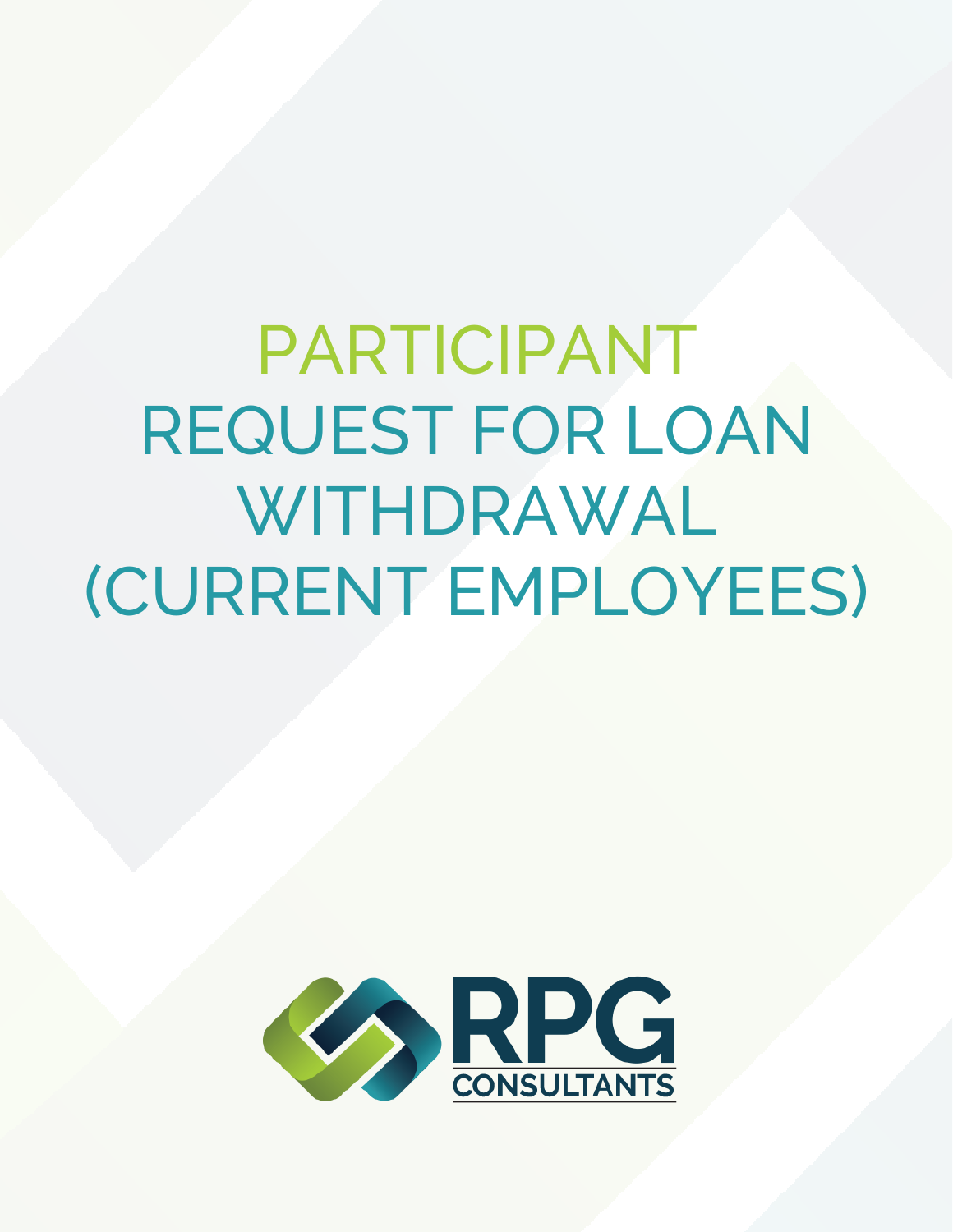PARTICIPANT REQUEST FOR LOAN WITHDRAWAL (CURRENT EMPLOYEES)

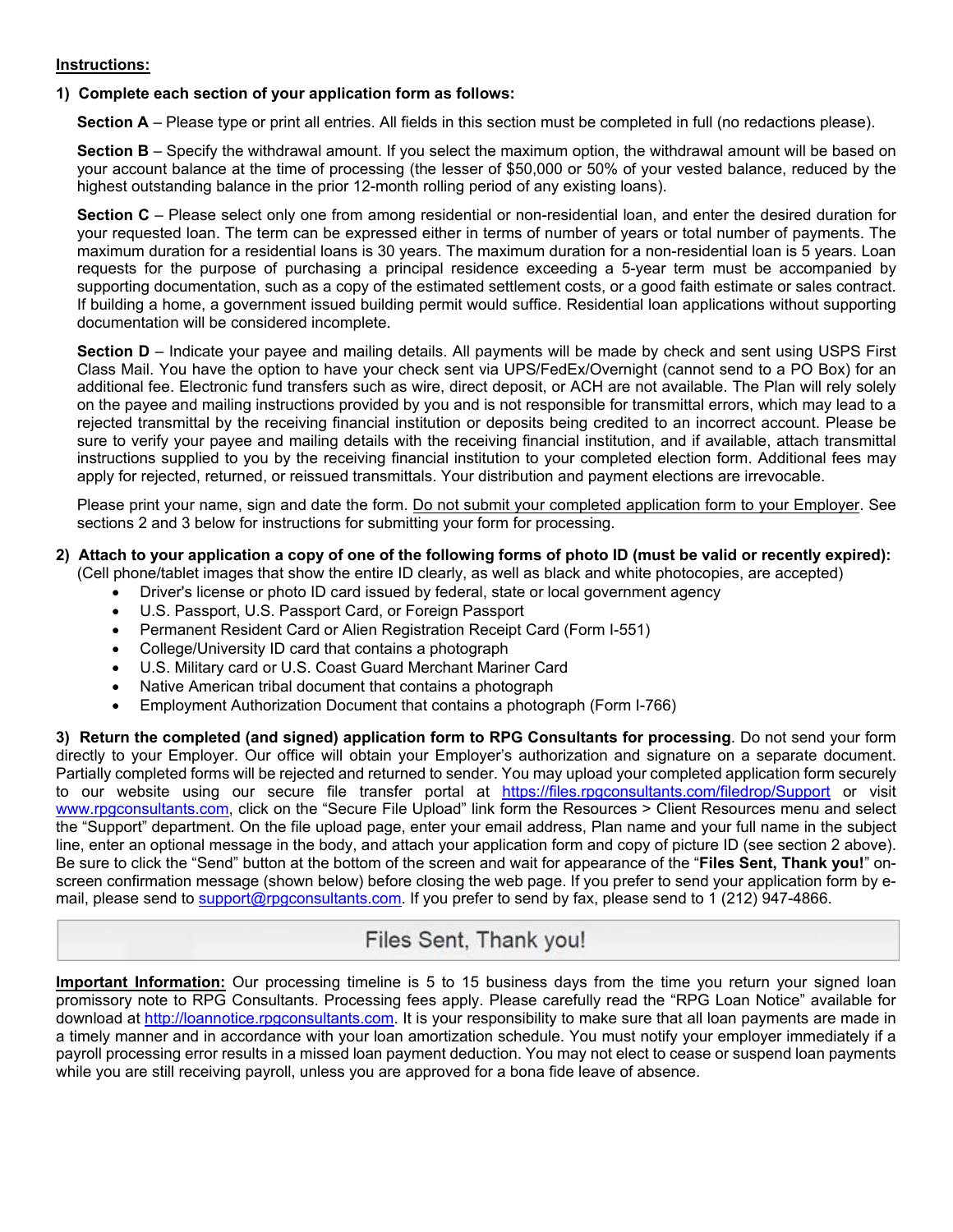### **Instructions:**

### **1) Complete each section of your application form as follows:**

**Section A** – Please type or print all entries. All fields in this section must be completed in full (no redactions please).

**Section B** – Specify the withdrawal amount. If you select the maximum option, the withdrawal amount will be based on your account balance at the time of processing (the lesser of \$50,000 or 50% of your vested balance, reduced by the highest outstanding balance in the prior 12-month rolling period of any existing loans).

**Section C** – Please select only one from among residential or non-residential loan, and enter the desired duration for your requested loan. The term can be expressed either in terms of number of years or total number of payments. The maximum duration for a residential loans is 30 years. The maximum duration for a non-residential loan is 5 years. Loan requests for the purpose of purchasing a principal residence exceeding a 5-year term must be accompanied by supporting documentation, such as a copy of the estimated settlement costs, or a good faith estimate or sales contract. If building a home, a government issued building permit would suffice. Residential loan applications without supporting documentation will be considered incomplete.

**Section D** – Indicate your payee and mailing details. All payments will be made by check and sent using USPS First Class Mail. You have the option to have your check sent via UPS/FedEx/Overnight (cannot send to a PO Box) for an additional fee. Electronic fund transfers such as wire, direct deposit, or ACH are not available. The Plan will rely solely on the payee and mailing instructions provided by you and is not responsible for transmittal errors, which may lead to a rejected transmittal by the receiving financial institution or deposits being credited to an incorrect account. Please be sure to verify your payee and mailing details with the receiving financial institution, and if available, attach transmittal instructions supplied to you by the receiving financial institution to your completed election form. Additional fees may apply for rejected, returned, or reissued transmittals. Your distribution and payment elections are irrevocable.

Please print your name, sign and date the form. Do not submit your completed application form to your Employer. See sections 2 and 3 below for instructions for submitting your form for processing.

## **2) Attach to your application a copy of one of the following forms of photo ID (must be valid or recently expired):**

(Cell phone/tablet images that show the entire ID clearly, as well as black and white photocopies, are accepted)

- Driver's license or photo ID card issued by federal, state or local government agency
- U.S. Passport, U.S. Passport Card, or Foreign Passport
- Permanent Resident Card or Alien Registration Receipt Card (Form I-551)
- College/University ID card that contains a photograph
- U.S. Military card or U.S. Coast Guard Merchant Mariner Card
- Native American tribal document that contains a photograph
- Employment Authorization Document that contains a photograph (Form I-766)

**3) Return the completed (and signed) application form to RPG Consultants for processing**. Do not send your form directly to your Employer. Our office will obtain your Employer's authorization and signature on a separate document. Partially completed forms will be rejected and returned to sender. You may upload your completed application form securely to our website using our secure file transfer portal at https://files.rpgconsultants.com/filedrop/Support or visit www.rpgconsultants.com, click on the "Secure File Upload" link form the Resources > Client Resources menu and select the "Support" department. On the file upload page, enter your email address, Plan name and your full name in the subject line, enter an optional message in the body, and attach your application form and copy of picture ID (see section 2 above). Be sure to click the "Send" button at the bottom of the screen and wait for appearance of the "**Files Sent, Thank you!**" onscreen confirmation message (shown below) before closing the web page. If you prefer to send your application form by email, please send to support@rpgconsultants.com. If you prefer to send by fax, please send to 1 (212) 947-4866.

# Files Sent, Thank you!

**Important Information:** Our processing timeline is 5 to 15 business days from the time you return your signed loan promissory note to RPG Consultants. Processing fees apply. Please carefully read the "RPG Loan Notice" available for download at http://loannotice.rpgconsultants.com. It is your responsibility to make sure that all loan payments are made in a timely manner and in accordance with your loan amortization schedule. You must notify your employer immediately if a payroll processing error results in a missed loan payment deduction. You may not elect to cease or suspend loan payments while you are still receiving payroll, unless you are approved for a bona fide leave of absence.